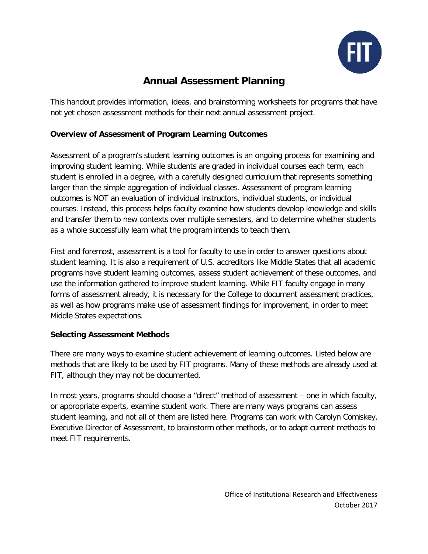

# **Annual Assessment Planning**

This handout provides information, ideas, and brainstorming worksheets for programs that have not yet chosen assessment methods for their next annual assessment project.

## **Overview of Assessment of Program Learning Outcomes**

Assessment of a program's student learning outcomes is an ongoing process for examining and improving student learning. While students are graded in individual courses each term, each student is enrolled in a degree, with a carefully designed curriculum that represents something larger than the simple aggregation of individual classes. Assessment of program learning outcomes is NOT an evaluation of individual instructors, individual students, or individual courses. Instead, this process helps faculty examine how students develop knowledge and skills and transfer them to new contexts over multiple semesters, and to determine whether students as a whole successfully learn what the program intends to teach them.

First and foremost, assessment is a tool for faculty to use in order to answer questions about student learning. It is also a requirement of U.S. accreditors like Middle States that all academic programs have student learning outcomes, assess student achievement of these outcomes, and use the information gathered to improve student learning. While FIT faculty engage in many forms of assessment already, it is necessary for the College to document assessment practices, as well as how programs make use of assessment findings for improvement, in order to meet Middle States expectations.

### **Selecting Assessment Methods**

There are many ways to examine student achievement of learning outcomes. Listed below are methods that are likely to be used by FIT programs. Many of these methods are already used at FIT, although they may not be documented.

In most years, programs should choose a "direct" method of assessment – one in which faculty, or appropriate experts, examine student work. There are many ways programs can assess student learning, and not all of them are listed here. Programs can work with Carolyn Comiskey, Executive Director of Assessment, to brainstorm other methods, or to adapt current methods to meet FIT requirements.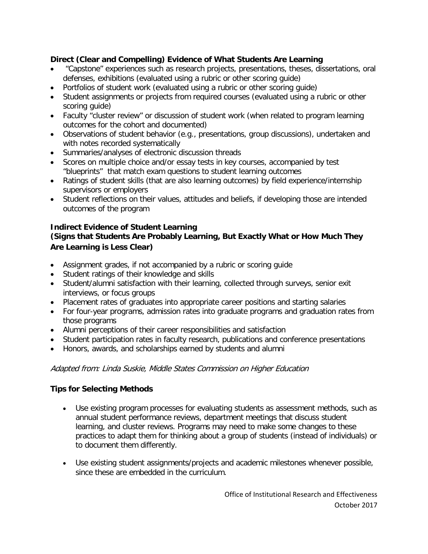## **Direct (Clear and Compelling) Evidence of What Students Are Learning**

- "Capstone" experiences such as research projects, presentations, theses, dissertations, oral defenses, exhibitions (evaluated using a rubric or other scoring guide)
- Portfolios of student work (evaluated using a rubric or other scoring guide)
- Student assignments or projects from required courses (evaluated using a rubric or other scoring guide)
- Faculty "cluster review" or discussion of student work (when related to program learning outcomes for the cohort and documented)
- Observations of student behavior (e.g., presentations, group discussions), undertaken and with notes recorded systematically
- Summaries/analyses of electronic discussion threads
- Scores on multiple choice and/or essay tests in key courses, accompanied by test "blueprints" that match exam questions to student learning outcomes
- Ratings of student skills (that are also learning outcomes) by field experience/internship supervisors or employers
- Student reflections on their values, attitudes and beliefs, if developing those are intended outcomes of the program

## **Indirect Evidence of Student Learning**

## **(Signs that Students Are Probably Learning, But Exactly What or How Much They Are Learning is Less Clear)**

- Assignment grades, if not accompanied by a rubric or scoring guide
- Student ratings of their knowledge and skills
- Student/alumni satisfaction with their learning, collected through surveys, senior exit interviews, or focus groups
- Placement rates of graduates into appropriate career positions and starting salaries
- For four-year programs, admission rates into graduate programs and graduation rates from those programs
- Alumni perceptions of their career responsibilities and satisfaction
- Student participation rates in faculty research, publications and conference presentations
- Honors, awards, and scholarships earned by students and alumni

#### Adapted from: Linda Suskie, Middle States Commission on Higher Education

### **Tips for Selecting Methods**

- Use existing program processes for evaluating students as assessment methods, such as annual student performance reviews, department meetings that discuss student learning, and cluster reviews. Programs may need to make some changes to these practices to adapt them for thinking about a group of students (instead of individuals) or to document them differently.
- Use existing student assignments/projects and academic milestones whenever possible, since these are embedded in the curriculum.

Office of Institutional Research and Effectiveness October 2017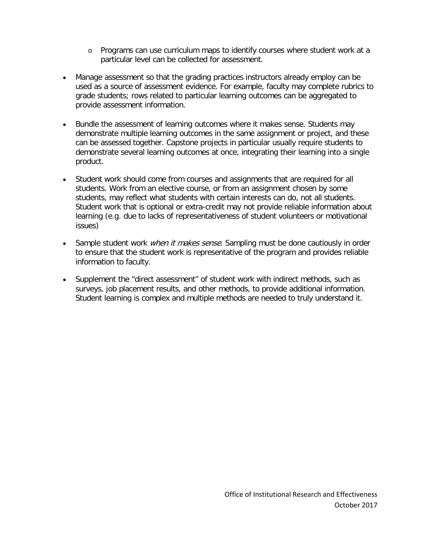- o Programs can use curriculum maps to identify courses where student work at a particular level can be collected for assessment.
- Manage assessment so that the grading practices instructors already employ can be used as a source of assessment evidence. For example, faculty may complete rubrics to grade students; rows related to particular learning outcomes can be aggregated to provide assessment information.
- Bundle the assessment of learning outcomes where it makes sense. Students may demonstrate multiple learning outcomes in the same assignment or project, and these can be assessed together. Capstone projects in particular usually require students to demonstrate several learning outcomes at once, integrating their learning into a single product.
- Student work should come from courses and assignments that are required for all students. Work from an elective course, or from an assignment chosen by some students, may reflect what students with certain interests can do, not all students. Student work that is optional or extra-credit may not provide reliable information about learning (e.g. due to lacks of representativeness of student volunteers or motivational issues)
- Sample student work *when it makes sense*. Sampling must be done cautiously in order to ensure that the student work is representative of the program and provides reliable information to faculty.
- Supplement the "direct assessment" of student work with indirect methods, such as surveys, job placement results, and other methods, to provide additional information. Student learning is complex and multiple methods are needed to truly understand it.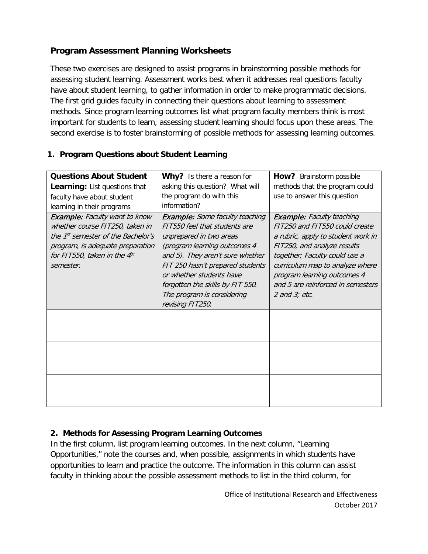## **Program Assessment Planning Worksheets**

These two exercises are designed to assist programs in brainstorming possible methods for assessing student learning. Assessment works best when it addresses real questions faculty have about student learning, to gather information in order to make programmatic decisions. The first grid guides faculty in connecting their questions about learning to assessment methods. Since program learning outcomes list what program faculty members think is most important for students to learn, assessing student learning should focus upon these areas. The second exercise is to foster brainstorming of possible methods for assessing learning outcomes.

## **1. Program Questions about Student Learning**

| <b>Questions About Student</b>                                                                                                                                                                               | Why? Is there a reason for                                                                                                                                                                                                                                                                                                  | How? Brainstorm possible                                                                                                                                                                                                                                                                              |
|--------------------------------------------------------------------------------------------------------------------------------------------------------------------------------------------------------------|-----------------------------------------------------------------------------------------------------------------------------------------------------------------------------------------------------------------------------------------------------------------------------------------------------------------------------|-------------------------------------------------------------------------------------------------------------------------------------------------------------------------------------------------------------------------------------------------------------------------------------------------------|
| <b>Learning:</b> List questions that                                                                                                                                                                         | asking this question? What will                                                                                                                                                                                                                                                                                             | methods that the program could                                                                                                                                                                                                                                                                        |
| faculty have about student                                                                                                                                                                                   | the program do with this                                                                                                                                                                                                                                                                                                    | use to answer this question                                                                                                                                                                                                                                                                           |
| learning in their programs                                                                                                                                                                                   | information?                                                                                                                                                                                                                                                                                                                |                                                                                                                                                                                                                                                                                                       |
| <b>Example:</b> Faculty want to know<br>whether course FIT250, taken in<br>the 1 <sup>st</sup> semester of the Bachelor's<br>program, is adequate preparation<br>for FIT550, taken in the $4th$<br>semester. | <b>Example:</b> Some faculty teaching<br>FIT550 feel that students are<br>unprepared in two areas<br>(program learning outcomes 4<br>and 5). They aren't sure whether<br>FIT 250 hasn't prepared students<br>or whether students have<br>forgotten the skills by FIT 550.<br>The program is considering<br>revising FIT250. | <b>Example:</b> Faculty teaching<br>FIT250 and FIT550 could create<br>a rubric, apply to student work in<br>FIT250, and analyze results<br>together; Faculty could use a<br>curriculum map to analyze where<br>program learning outcomes 4<br>and 5 are reinforced in semesters<br>$2$ and $3$ ; etc. |
|                                                                                                                                                                                                              |                                                                                                                                                                                                                                                                                                                             |                                                                                                                                                                                                                                                                                                       |
|                                                                                                                                                                                                              |                                                                                                                                                                                                                                                                                                                             |                                                                                                                                                                                                                                                                                                       |
|                                                                                                                                                                                                              |                                                                                                                                                                                                                                                                                                                             |                                                                                                                                                                                                                                                                                                       |

## **2. Methods for Assessing Program Learning Outcomes**

In the first column, list program learning outcomes. In the next column, "Learning Opportunities," note the courses and, when possible, assignments in which students have opportunities to learn and practice the outcome. The information in this column can assist faculty in thinking about the possible assessment methods to list in the third column, for

> Office of Institutional Research and Effectiveness October 2017